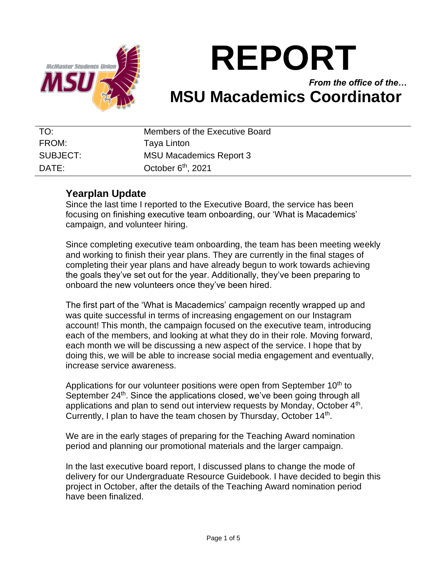

# **REPORT**

## *From the office of the…* **MSU Macademics Coordinator**

| TO:               | Members of the Executive Board |
|-------------------|--------------------------------|
| FROM:             | Taya Linton                    |
| SUBJECT:          | <b>MSU Macademics Report 3</b> |
| $\mathsf{DATF}$ : | October $6th$ , 2021           |

## **Yearplan Update**

Since the last time I reported to the Executive Board, the service has been focusing on finishing executive team onboarding, our 'What is Macademics' campaign, and volunteer hiring.

Since completing executive team onboarding, the team has been meeting weekly and working to finish their year plans. They are currently in the final stages of completing their year plans and have already begun to work towards achieving the goals they've set out for the year. Additionally, they've been preparing to onboard the new volunteers once they've been hired.

The first part of the 'What is Macademics' campaign recently wrapped up and was quite successful in terms of increasing engagement on our Instagram account! This month, the campaign focused on the executive team, introducing each of the members, and looking at what they do in their role. Moving forward, each month we will be discussing a new aspect of the service. I hope that by doing this, we will be able to increase social media engagement and eventually, increase service awareness.

Applications for our volunteer positions were open from September  $10<sup>th</sup>$  to September 24<sup>th</sup>. Since the applications closed, we've been going through all applications and plan to send out interview requests by Monday, October  $4<sup>th</sup>$ . Currently, I plan to have the team chosen by Thursday, October  $14<sup>th</sup>$ .

We are in the early stages of preparing for the Teaching Award nomination period and planning our promotional materials and the larger campaign.

In the last executive board report, I discussed plans to change the mode of delivery for our Undergraduate Resource Guidebook. I have decided to begin this project in October, after the details of the Teaching Award nomination period have been finalized.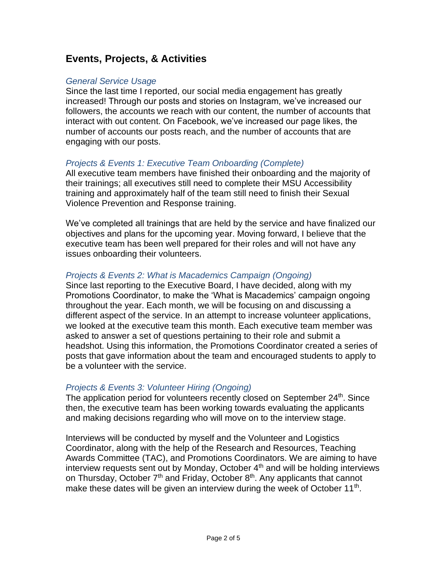## **Events, Projects, & Activities**

#### *General Service Usage*

Since the last time I reported, our social media engagement has greatly increased! Through our posts and stories on Instagram, we've increased our followers, the accounts we reach with our content, the number of accounts that interact with out content. On Facebook, we've increased our page likes, the number of accounts our posts reach, and the number of accounts that are engaging with our posts.

#### *Projects & Events 1: Executive Team Onboarding (Complete)*

All executive team members have finished their onboarding and the majority of their trainings; all executives still need to complete their MSU Accessibility training and approximately half of the team still need to finish their Sexual Violence Prevention and Response training.

We've completed all trainings that are held by the service and have finalized our objectives and plans for the upcoming year. Moving forward, I believe that the executive team has been well prepared for their roles and will not have any issues onboarding their volunteers.

#### *Projects & Events 2: What is Macademics Campaign (Ongoing)*

Since last reporting to the Executive Board, I have decided, along with my Promotions Coordinator, to make the 'What is Macademics' campaign ongoing throughout the year. Each month, we will be focusing on and discussing a different aspect of the service. In an attempt to increase volunteer applications, we looked at the executive team this month. Each executive team member was asked to answer a set of questions pertaining to their role and submit a headshot. Using this information, the Promotions Coordinator created a series of posts that gave information about the team and encouraged students to apply to be a volunteer with the service.

#### *Projects & Events 3: Volunteer Hiring (Ongoing)*

The application period for volunteers recently closed on September  $24<sup>th</sup>$ . Since then, the executive team has been working towards evaluating the applicants and making decisions regarding who will move on to the interview stage.

Interviews will be conducted by myself and the Volunteer and Logistics Coordinator, along with the help of the Research and Resources, Teaching Awards Committee (TAC), and Promotions Coordinators. We are aiming to have interview requests sent out by Monday, October  $4<sup>th</sup>$  and will be holding interviews on Thursday, October  $7<sup>th</sup>$  and Friday, October  $8<sup>th</sup>$ . Any applicants that cannot make these dates will be given an interview during the week of October 11<sup>th</sup>.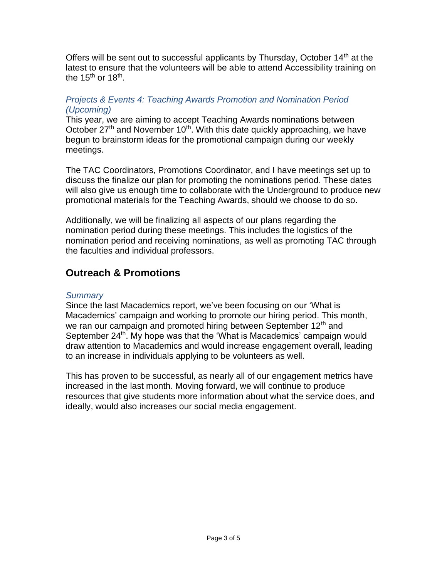Offers will be sent out to successful applicants by Thursday, October  $14<sup>th</sup>$  at the latest to ensure that the volunteers will be able to attend Accessibility training on the 15<sup>th</sup> or 18<sup>th</sup>.

#### *Projects & Events 4: Teaching Awards Promotion and Nomination Period (Upcoming)*

This year, we are aiming to accept Teaching Awards nominations between October  $27<sup>th</sup>$  and November 10<sup>th</sup>. With this date quickly approaching, we have begun to brainstorm ideas for the promotional campaign during our weekly meetings.

The TAC Coordinators, Promotions Coordinator, and I have meetings set up to discuss the finalize our plan for promoting the nominations period. These dates will also give us enough time to collaborate with the Underground to produce new promotional materials for the Teaching Awards, should we choose to do so.

Additionally, we will be finalizing all aspects of our plans regarding the nomination period during these meetings. This includes the logistics of the nomination period and receiving nominations, as well as promoting TAC through the faculties and individual professors.

## **Outreach & Promotions**

#### *Summary*

Since the last Macademics report, we've been focusing on our 'What is Macademics' campaign and working to promote our hiring period. This month, we ran our campaign and promoted hiring between September  $12<sup>th</sup>$  and September 24<sup>th</sup>. My hope was that the 'What is Macademics' campaign would draw attention to Macademics and would increase engagement overall, leading to an increase in individuals applying to be volunteers as well.

This has proven to be successful, as nearly all of our engagement metrics have increased in the last month. Moving forward, we will continue to produce resources that give students more information about what the service does, and ideally, would also increases our social media engagement.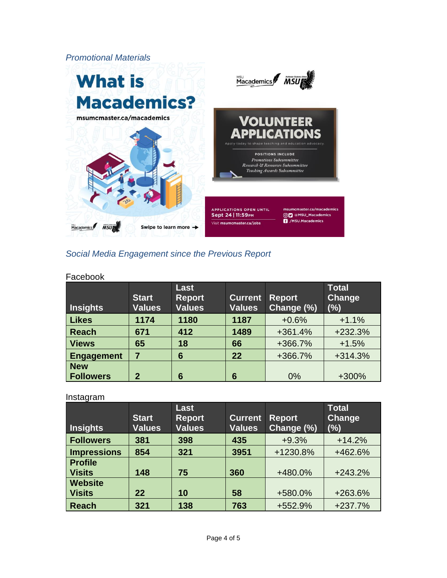

#### *Social Media Engagement since the Previous Report*

#### Facebook

| <b>Insights</b>  | <b>Start</b><br><b>Values</b> | Last<br><b>Report</b><br><b>Values</b> | <b>Current</b><br><b>Values</b> | <b>Report</b><br>Change (%) | <b>Total</b><br>Change<br>(%) |
|------------------|-------------------------------|----------------------------------------|---------------------------------|-----------------------------|-------------------------------|
| Likes            | 1174                          | 1180                                   | 1187                            | $+0.6%$                     | $+1.1%$                       |
| <b>Reach</b>     | 671                           | 412                                    | 1489                            | $+361.4%$                   | +232.3%                       |
| <b>Views</b>     | 65                            | 18                                     | 66                              | +366.7%                     | $+1.5%$                       |
| Engagement       | 7                             | 6                                      | 22                              | +366.7%                     | $+314.3%$                     |
| <b>New</b>       |                               |                                        |                                 |                             |                               |
| <b>Followers</b> | $\mathbf{2}$                  | 6                                      | 6                               | 0%                          | +300%                         |

#### Instagram

| <b>Insights</b>    | <b>Start</b><br><b>Values</b> | <b>Last</b><br><b>Report</b><br><b>Values</b> | <b>Current</b><br><b>Values</b> | <b>Report</b><br>Change (%) | <b>Total</b><br><b>Change</b><br>$(\%)$ |
|--------------------|-------------------------------|-----------------------------------------------|---------------------------------|-----------------------------|-----------------------------------------|
| <b>Followers</b>   | 381                           | 398                                           | 435                             | $+9.3%$                     | $+14.2%$                                |
| <b>Impressions</b> | 854                           | 321                                           | 3951                            | +1230.8%                    | +462.6%                                 |
| <b>Profile</b>     |                               |                                               |                                 |                             |                                         |
| <b>Visits</b>      | 148                           | 75                                            | 360                             | +480.0%                     | $+243.2%$                               |
| <b>Website</b>     |                               |                                               |                                 |                             |                                         |
| <b>Visits</b>      | 22                            | 10                                            | 58                              | +580.0%                     | +263.6%                                 |
| <b>Reach</b>       | 321                           | 138                                           | 763                             | +552.9%                     | $+237.7%$                               |